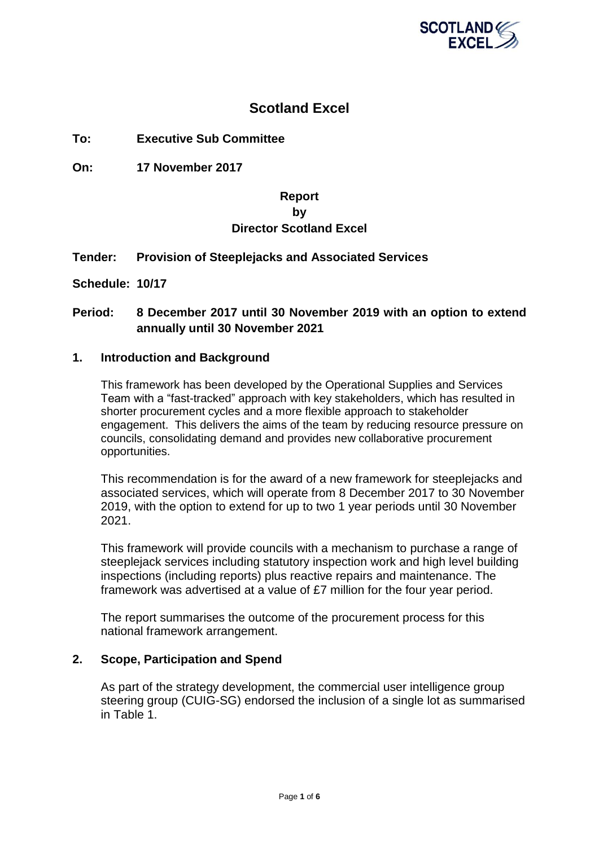

## **Scotland Excel**

**To: Executive Sub Committee**

**On: 17 November 2017**

## **Report by Director Scotland Excel**

#### **Tender: Provision of Steeplejacks and Associated Services**

**Schedule: 10/17**

### **Period: 8 December 2017 until 30 November 2019 with an option to extend annually until 30 November 2021**

#### **1. Introduction and Background**

This framework has been developed by the Operational Supplies and Services Team with a "fast-tracked" approach with key stakeholders, which has resulted in shorter procurement cycles and a more flexible approach to stakeholder engagement. This delivers the aims of the team by reducing resource pressure on councils, consolidating demand and provides new collaborative procurement opportunities.

This recommendation is for the award of a new framework for steeplejacks and associated services, which will operate from 8 December 2017 to 30 November 2019, with the option to extend for up to two 1 year periods until 30 November 2021.

This framework will provide councils with a mechanism to purchase a range of steeplejack services including statutory inspection work and high level building inspections (including reports) plus reactive repairs and maintenance. The framework was advertised at a value of £7 million for the four year period.

The report summarises the outcome of the procurement process for this national framework arrangement.

#### **2. Scope, Participation and Spend**

As part of the strategy development, the commercial user intelligence group steering group (CUIG-SG) endorsed the inclusion of a single lot as summarised in Table 1.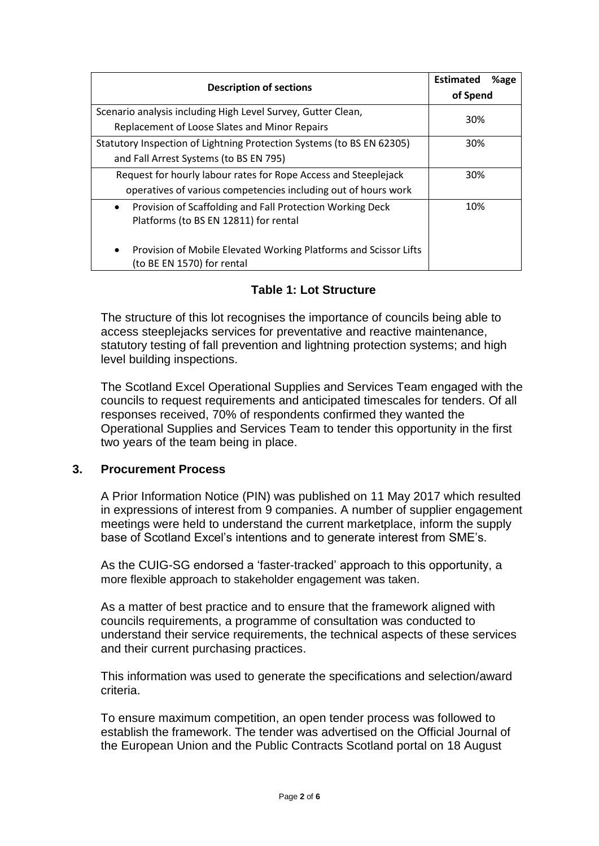| <b>Description of sections</b>                                                                                  | <b>Estimated</b><br>%age |
|-----------------------------------------------------------------------------------------------------------------|--------------------------|
|                                                                                                                 | of Spend                 |
| Scenario analysis including High Level Survey, Gutter Clean,                                                    | 30%                      |
| Replacement of Loose Slates and Minor Repairs                                                                   |                          |
| Statutory Inspection of Lightning Protection Systems (to BS EN 62305)                                           | 30%                      |
| and Fall Arrest Systems (to BS EN 795)                                                                          |                          |
| Request for hourly labour rates for Rope Access and Steeplejack                                                 | 30%                      |
| operatives of various competencies including out of hours work                                                  |                          |
| Provision of Scaffolding and Fall Protection Working Deck<br>$\bullet$<br>Platforms (to BS EN 12811) for rental | 10%                      |
| Provision of Mobile Elevated Working Platforms and Scissor Lifts<br>$\bullet$<br>(to BE EN 1570) for rental     |                          |

## **Table 1: Lot Structure**

The structure of this lot recognises the importance of councils being able to access steeplejacks services for preventative and reactive maintenance, statutory testing of fall prevention and lightning protection systems; and high level building inspections.

The Scotland Excel Operational Supplies and Services Team engaged with the councils to request requirements and anticipated timescales for tenders. Of all responses received, 70% of respondents confirmed they wanted the Operational Supplies and Services Team to tender this opportunity in the first two years of the team being in place.

#### **3. Procurement Process**

A Prior Information Notice (PIN) was published on 11 May 2017 which resulted in expressions of interest from 9 companies. A number of supplier engagement meetings were held to understand the current marketplace, inform the supply base of Scotland Excel's intentions and to generate interest from SME's.

As the CUIG-SG endorsed a 'faster-tracked' approach to this opportunity, a more flexible approach to stakeholder engagement was taken.

As a matter of best practice and to ensure that the framework aligned with councils requirements, a programme of consultation was conducted to understand their service requirements, the technical aspects of these services and their current purchasing practices.

This information was used to generate the specifications and selection/award criteria.

To ensure maximum competition, an open tender process was followed to establish the framework. The tender was advertised on the Official Journal of the European Union and the Public Contracts Scotland portal on 18 August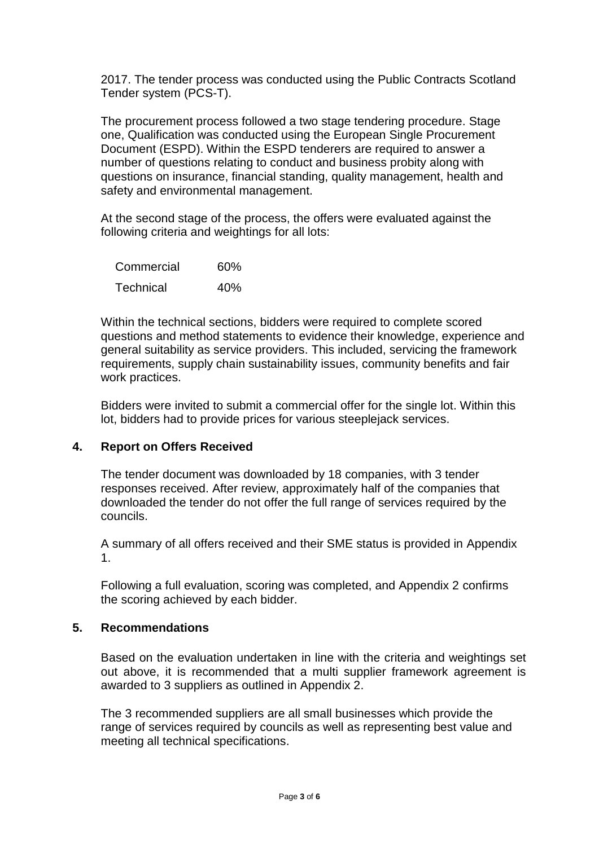2017. The tender process was conducted using the Public Contracts Scotland Tender system (PCS-T).

The procurement process followed a two stage tendering procedure. Stage one, Qualification was conducted using the European Single Procurement Document (ESPD). Within the ESPD tenderers are required to answer a number of questions relating to conduct and business probity along with questions on insurance, financial standing, quality management, health and safety and environmental management.

At the second stage of the process, the offers were evaluated against the following criteria and weightings for all lots:

| Commercial       | 60% |
|------------------|-----|
| <b>Technical</b> | 40% |

Within the technical sections, bidders were required to complete scored questions and method statements to evidence their knowledge, experience and general suitability as service providers. This included, servicing the framework requirements, supply chain sustainability issues, community benefits and fair work practices.

Bidders were invited to submit a commercial offer for the single lot. Within this lot, bidders had to provide prices for various steeplejack services.

## **4. Report on Offers Received**

The tender document was downloaded by 18 companies, with 3 tender responses received. After review, approximately half of the companies that downloaded the tender do not offer the full range of services required by the councils.

A summary of all offers received and their SME status is provided in Appendix 1.

Following a full evaluation, scoring was completed, and Appendix 2 confirms the scoring achieved by each bidder.

#### **5. Recommendations**

Based on the evaluation undertaken in line with the criteria and weightings set out above, it is recommended that a multi supplier framework agreement is awarded to 3 suppliers as outlined in Appendix 2.

The 3 recommended suppliers are all small businesses which provide the range of services required by councils as well as representing best value and meeting all technical specifications.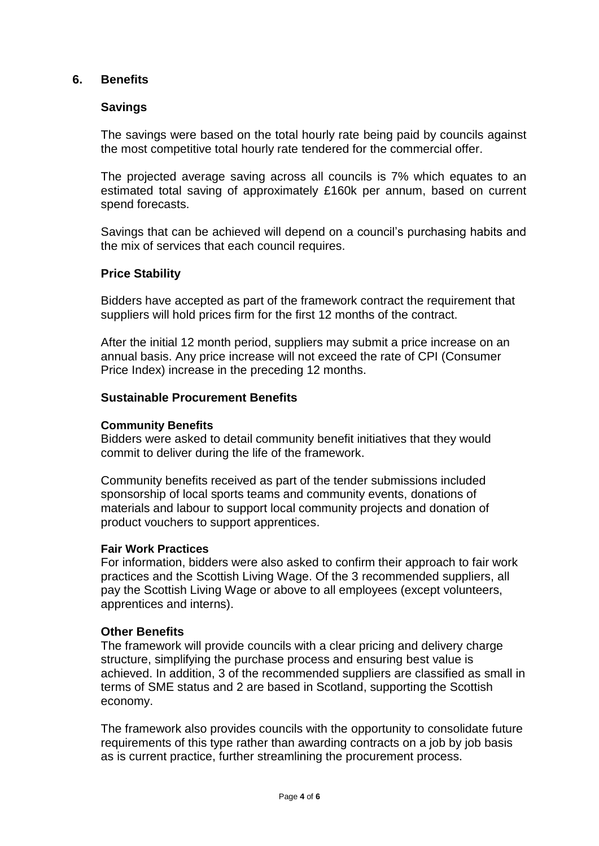#### **6. Benefits**

#### **Savings**

The savings were based on the total hourly rate being paid by councils against the most competitive total hourly rate tendered for the commercial offer.

The projected average saving across all councils is 7% which equates to an estimated total saving of approximately £160k per annum, based on current spend forecasts.

Savings that can be achieved will depend on a council's purchasing habits and the mix of services that each council requires.

#### **Price Stability**

Bidders have accepted as part of the framework contract the requirement that suppliers will hold prices firm for the first 12 months of the contract.

After the initial 12 month period, suppliers may submit a price increase on an annual basis. Any price increase will not exceed the rate of CPI (Consumer Price Index) increase in the preceding 12 months.

#### **Sustainable Procurement Benefits**

#### **Community Benefits**

Bidders were asked to detail community benefit initiatives that they would commit to deliver during the life of the framework.

Community benefits received as part of the tender submissions included sponsorship of local sports teams and community events, donations of materials and labour to support local community projects and donation of product vouchers to support apprentices.

#### **Fair Work Practices**

For information, bidders were also asked to confirm their approach to fair work practices and the Scottish Living Wage. Of the 3 recommended suppliers, all pay the Scottish Living Wage or above to all employees (except volunteers, apprentices and interns).

#### **Other Benefits**

The framework will provide councils with a clear pricing and delivery charge structure, simplifying the purchase process and ensuring best value is achieved. In addition, 3 of the recommended suppliers are classified as small in terms of SME status and 2 are based in Scotland, supporting the Scottish economy.

The framework also provides councils with the opportunity to consolidate future requirements of this type rather than awarding contracts on a job by job basis as is current practice, further streamlining the procurement process.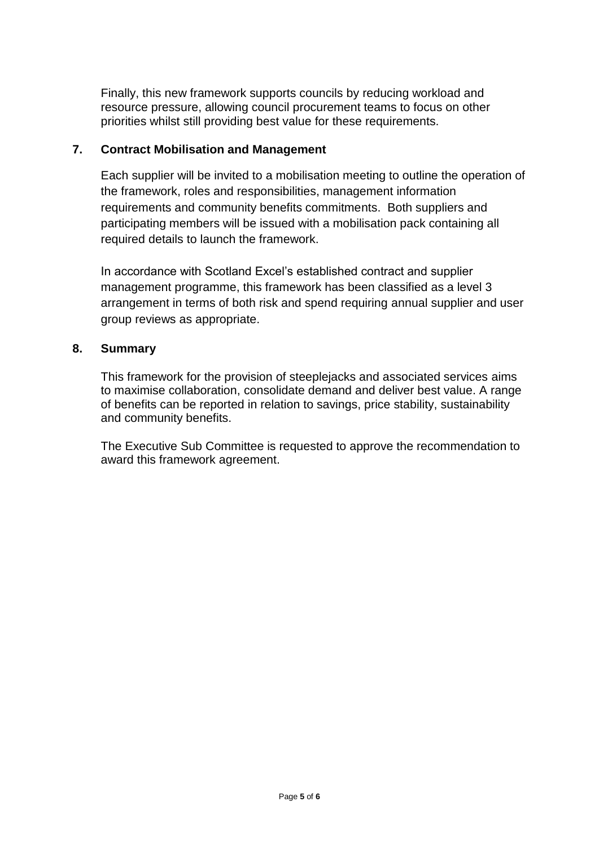Finally, this new framework supports councils by reducing workload and resource pressure, allowing council procurement teams to focus on other priorities whilst still providing best value for these requirements.

#### **7. Contract Mobilisation and Management**

Each supplier will be invited to a mobilisation meeting to outline the operation of the framework, roles and responsibilities, management information requirements and community benefits commitments. Both suppliers and participating members will be issued with a mobilisation pack containing all required details to launch the framework.

In accordance with Scotland Excel's established contract and supplier management programme, this framework has been classified as a level 3 arrangement in terms of both risk and spend requiring annual supplier and user group reviews as appropriate.

### **8. Summary**

This framework for the provision of steeplejacks and associated services aims to maximise collaboration, consolidate demand and deliver best value. A range of benefits can be reported in relation to savings, price stability, sustainability and community benefits.

The Executive Sub Committee is requested to approve the recommendation to award this framework agreement.